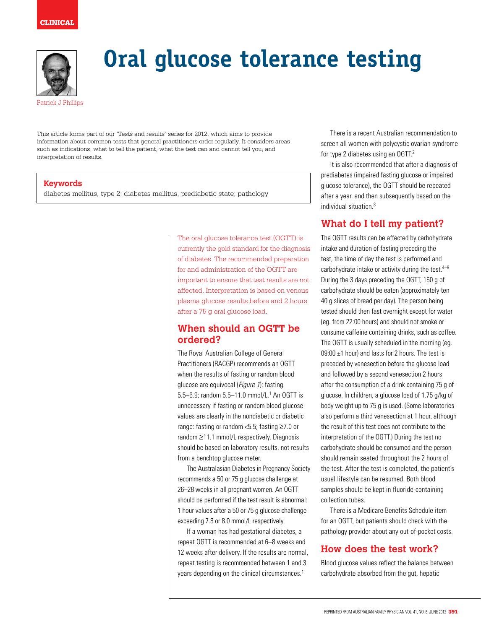

# **Oral glucose tolerance testing**

This article forms part of our 'Tests and results' series for 2012, which aims to provide information about common tests that general practitioners order regularly. It considers areas such as indications, what to tell the patient, what the test can and cannot tell you, and interpretation of results.

#### **Keywords**

diabetes mellitus, type 2; diabetes mellitus, prediabetic state; pathology

The oral glucose tolerance test (OGTT) is currently the gold standard for the diagnosis of diabetes. The recommended preparation for and administration of the OGTT are important to ensure that test results are not affected. Interpretation is based on venous plasma glucose results before and 2 hours after a 75 g oral glucose load.

## **When should an OGTT be ordered?**

The Royal Australian College of General Practitioners (RACGP) recommends an OGTT when the results of fasting or random blood glucose are equivocal (Figure 1): fasting 5.5–6.9; random 5.5–11.0 mmol/L.<sup>1</sup> An OGTT is unnecessary if fasting or random blood glucose values are clearly in the nondiabetic or diabetic range: fasting or random <5.5; fasting ≥7.0 or random ≥11.1 mmol/L respectively. Diagnosis should be based on laboratory results, not results from a benchtop glucose meter.

The Australasian Diabetes in Pregnancy Society recommends a 50 or 75 g glucose challenge at 26–28 weeks in all pregnant women. An OGTT should be performed if the test result is abnormal: 1 hour values after a 50 or 75 g glucose challenge exceeding 7.8 or 8.0 mmol/L respectively.

If a woman has had gestational diabetes, a repeat OGTT is recommended at 6–8 weeks and 12 weeks after delivery. If the results are normal, repeat testing is recommended between 1 and 3 years depending on the clinical circumstances.<sup>1</sup>

There is a recent Australian recommendation to screen all women with polycystic ovarian syndrome for type 2 diabetes using an OGTT.2

It is also recommended that after a diagnosis of prediabetes (impaired fasting glucose or impaired glucose tolerance), the OGTT should be repeated after a year, and then subsequently based on the individual situation.3

# **What do I tell my patient?**

The OGTT results can be affected by carbohydrate intake and duration of fasting preceding the test, the time of day the test is performed and carbohydrate intake or activity during the test. $4-6$ During the 3 days preceding the OGTT, 150 g of carbohydrate should be eaten (approximately ten 40 g slices of bread per day). The person being tested should then fast overnight except for water (eg. from 22:00 hours) and should not smoke or consume caffeine containing drinks, such as coffee. The OGTT is usually scheduled in the morning (eg. 09:00 ±1 hour) and lasts for 2 hours. The test is preceded by venesection before the glucose load and followed by a second venesection 2 hours after the consumption of a drink containing 75 g of glucose. In children, a glucose load of 1.75 g/kg of body weight up to 75 g is used. (Some laboratories also perform a third venesection at 1 hour, although the result of this test does not contribute to the interpretation of the OGTT.) During the test no carbohydrate should be consumed and the person should remain seated throughout the 2 hours of the test. After the test is completed, the patient's usual lifestyle can be resumed. Both blood samples should be kept in fluoride-containing collection tubes.

There is a Medicare Benefits Schedule item for an OGTT, but patients should check with the pathology provider about any out-of-pocket costs.

# **How does the test work?**

Blood glucose values reflect the balance between carbohydrate absorbed from the gut, hepatic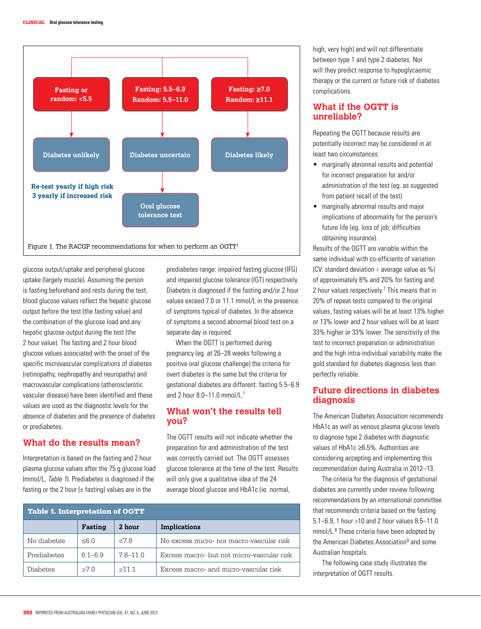

glucose output/uptake and peripheral glucose uptake (largely muscle). Assuming the person is fasting beforehand and rests during the test, blood glucose values reflect the hepatic glucose output before the test (the fasting value) and the combination of the glucose load and any hepatic glucose output during the test (the 2 hour value). The fasting and 2 hour blood glucose values associated with the onset of the specific microvascular complications of diabetes (retinopathy, nephropathy and neuropathy) and macrovascular complications (atherosclerotic vascular disease) have been identified and these values are used as the diagnostic levels for the absence of diabetes and the presence of diabetes or prediabetes.

#### **What do the results mean?**

Interpretation is based on the fasting and 2 hour plasma glucose values after the 75 g glucose load (mmol/L, Table 1). Prediabetes is diagnosed if the fasting or the 2 hour  $(\pm \text{ fasting})$  values are in the

prediabetes range: impaired fasting glucose (IFG) and impaired glucose tolerance (IGT) respectively. Diabetes is diagnosed if the fasting and/or 2 hour values exceed 7.0 or 11.1 mmol/L in the presence of symptoms typical of diabetes. In the absence of symptoms a second abnormal blood test on a separate day is required.

When the OGTT is performed during pregnancy (eg. at 26–28 weeks following a positive oral glucose challenge) the criteria for overt diabetes is the same but the criteria for gestational diabetes are different: fasting 5.5–6.9 and 2 hour 8.0–11.0 mmol/L.1

## **What won't the results tell you?**

The OGTT results will not indicate whether the preparation for and administration of the test was correctly carried out. The OGTT assesses glucose tolerance at the time of the test. Results will only give a qualitative idea of the 24 average blood glucose and HbA1c (ie. normal,

| <b>Table 1. Interpretation of OGTT</b> |                |              |                                           |
|----------------------------------------|----------------|--------------|-------------------------------------------|
|                                        | Fasting        | 2 hour       | Implications                              |
| No diabetes                            | $<$ 6 $\Omega$ | <78          | No excess micro- nor macro-vascular risk  |
| Prediabetes                            | $6.1 - 6.9$    | $7.8 - 11.0$ | Excess macro- but not micro-vascular risk |
| <b>Diabetes</b>                        | >70            | >11.1        | Excess macro- and micro-vascular risk     |

high, very high) and will not differentiate between type 1 and type 2 diabetes. Nor will they predict response to hypoglycaemic therapy or the current or future risk of diabetes complications.

### **What if the OGTT is unreliable?**

Repeating the OGTT because results are potentially incorrect may be considered in at least two circumstances:

- marginally abnormal results and potential for incorrect preparation for and/or administration of the test (eg. as suggested from patient recall of the test)
- marginally abnormal results and major implications of abnormality for the person's future life (eg. loss of job; difficulties obtaining insurance).

Results of the OGTT are variable within the same individual with co-efficients of variation (CV: standard deviation ÷ average value as %) of approximately 8% and 20% for fasting and 2 hour values respectively. $7$  This means that in 20% of repeat tests compared to the original values, fasting values will be at least 13% higher or 13% lower and 2 hour values will be at least 33% higher or 33% lower. The sensitivity of the test to incorrect preparation or administration and the high intra-individual variability make the gold standard for diabetes diagnosis less than perfectly reliable.

## **Future directions in diabetes diagnosis**

The American Diabetes Association recommends HbA1c as well as venous plasma glucose levels to diagnose type 2 diabetes with diagnostic values of HbA1c ≥6.5%. Authorities are considering accepting and implementing this recommendation during Australia in 2012–13.

The criteria for the diagnosis of gestational diabetes are currently under review following recommendations by an international committee that recommends criteria based on the fasting 5.1–6.9, 1 hour >10 and 2 hour values 8.5–11.0 mmol/L.8 These criteria have been adopted by the American Diabetes Association<sup>9</sup> and some Australian hospitals.

The following case study illustrates the interpretation of OGTT results.